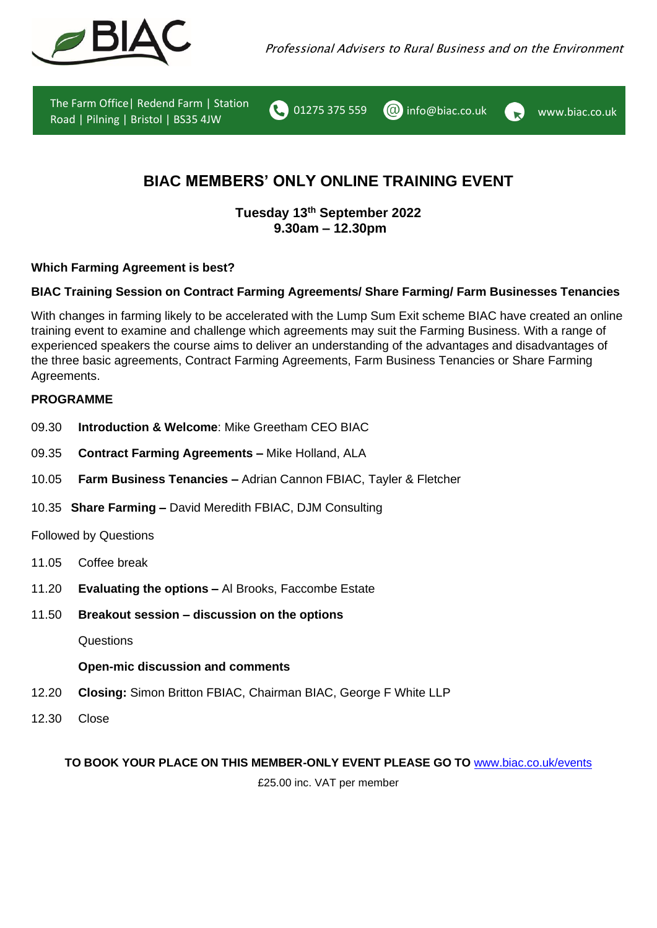





# **BIAC MEMBERS' ONLY ONLINE TRAINING EVENT**

**Tuesday 13 th September 2022 9.30am – 12.30pm**

**Which Farming Agreement is best?**

# **BIAC Training Session on Contract Farming Agreements/ Share Farming/ Farm Businesses Tenancies**

With changes in farming likely to be accelerated with the Lump Sum Exit scheme BIAC have created an online training event to examine and challenge which agreements may suit the Farming Business. With a range of experienced speakers the course aims to deliver an understanding of the advantages and disadvantages of the three basic agreements, Contract Farming Agreements, Farm Business Tenancies or Share Farming Agreements.

# **PROGRAMME**

- 09.30 **Introduction & Welcome**: Mike Greetham CEO BIAC
- 09.35 **Contract Farming Agreements –** Mike Holland, ALA
- 10.05 **Farm Business Tenancies –** Adrian Cannon FBIAC, Tayler & Fletcher
- 10.35 **Share Farming –** David Meredith FBIAC, DJM Consulting

Followed by Questions

- 11.05 Coffee break
- 11.20 **Evaluating the options –** Al Brooks, Faccombe Estate
- 11.50 **Breakout session – discussion on the options**

**Questions** 

# **Open-mic discussion and comments**

- 12.20 **Closing:** Simon Britton FBIAC, Chairman BIAC, George F White LLP
- 12.30 Close

# **TO BOOK YOUR PLACE ON THIS MEMBER-ONLY EVENT PLEASE GO TO** [www.biac.co.uk/events](http://www.biac.co.uk/events)

£25.00 inc. VAT per member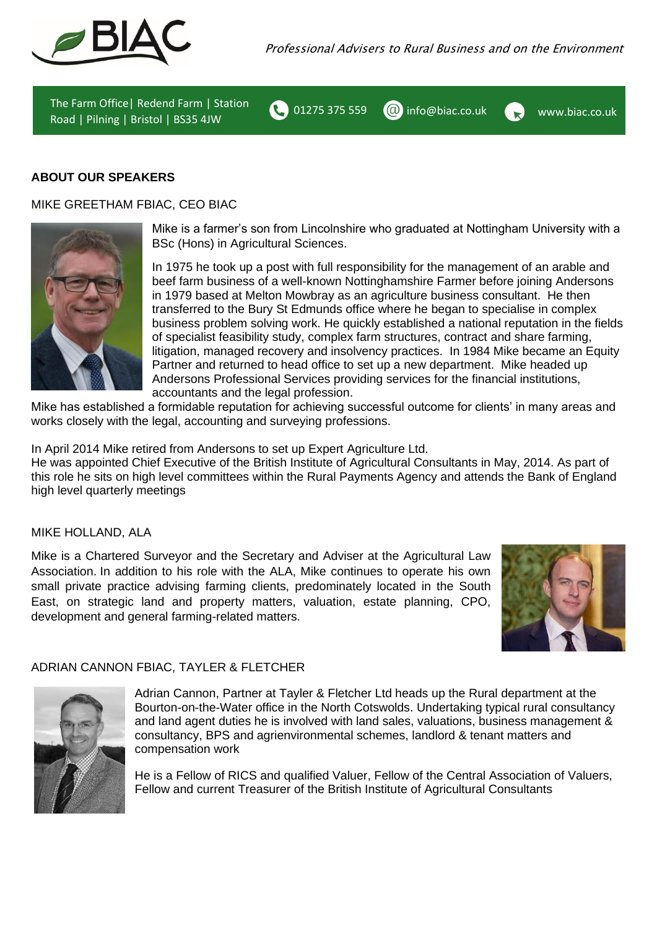

01275 375 559  $\omega$  info $\omega$ biac.co.uk www.biac.co.uk

**ABOUT OUR SPEAKERS**

MIKE GREETHAM FBIAC, CEO BIAC



Mike is a farmer's son from Lincolnshire who graduated at Nottingham University with a BSc (Hons) in Agricultural Sciences.

In 1975 he took up a post with full responsibility for the management of an arable and beef farm business of a well-known Nottinghamshire Farmer before joining Andersons in 1979 based at Melton Mowbray as an agriculture business consultant. He then transferred to the Bury St Edmunds office where he began to specialise in complex business problem solving work. He quickly established a national reputation in the fields of specialist feasibility study, complex farm structures, contract and share farming, litigation, managed recovery and insolvency practices. In 1984 Mike became an Equity Partner and returned to head office to set up a new department. Mike headed up Andersons Professional Services providing services for the financial institutions, accountants and the legal profession.

Mike has established a formidable reputation for achieving successful outcome for clients' in many areas and works closely with the legal, accounting and surveying professions.

In April 2014 Mike retired from Andersons to set up Expert Agriculture Ltd.

He was appointed Chief Executive of the British Institute of Agricultural Consultants in May, 2014. As part of this role he sits on high level committees within the Rural Payments Agency and attends the Bank of England high level quarterly meetings

### MIKE HOLLAND, ALA

Mike is a Chartered Surveyor and the Secretary and Adviser at the Agricultural Law Association. In addition to his role with the ALA, Mike continues to operate his own small private practice advising farming clients, predominately located in the South East, on strategic land and property matters, valuation, estate planning, CPO, development and general farming-related matters.



### ADRIAN CANNON FBIAC, TAYLER & FLETCHER



Adrian Cannon, Partner at Tayler & Fletcher Ltd heads up the Rural department at the Bourton-on-the-Water office in the North Cotswolds. Undertaking typical rural consultancy and land agent duties he is involved with land sales, valuations, business management & consultancy, BPS and agrienvironmental schemes, landlord & tenant matters and compensation work

He is a Fellow of RICS and qualified Valuer, Fellow of the Central Association of Valuers, Fellow and current Treasurer of the British Institute of Agricultural Consultants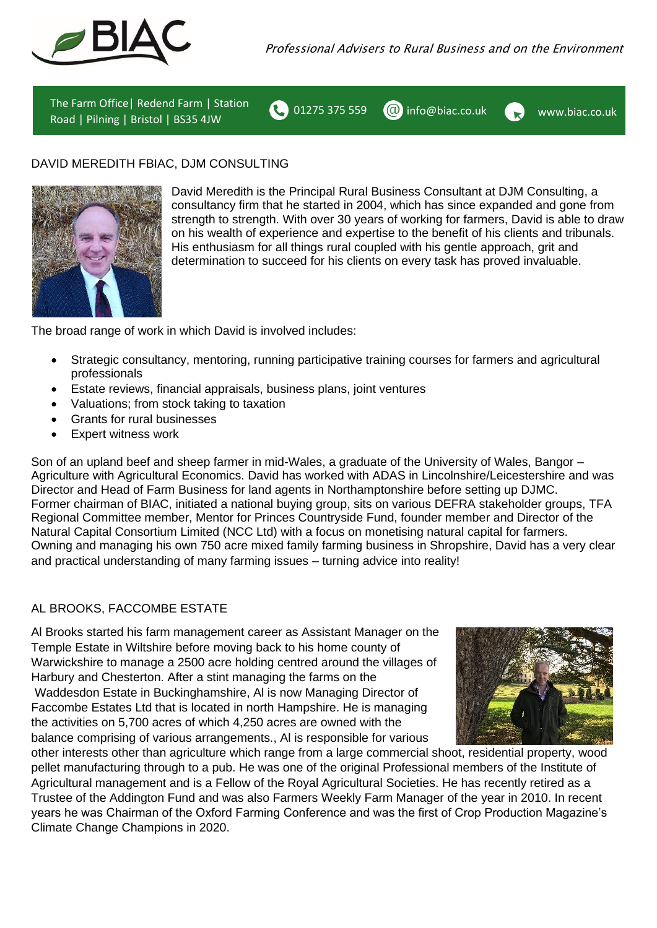



# DAVID MEREDITH FBIAC, DJM CONSULTING



David Meredith is the Principal Rural Business Consultant at DJM Consulting, a consultancy firm that he started in 2004, which has since expanded and gone from strength to strength. With over 30 years of working for farmers, David is able to draw on his wealth of experience and expertise to the benefit of his clients and tribunals. His enthusiasm for all things rural coupled with his gentle approach, grit and determination to succeed for his clients on every task has proved invaluable.

The broad range of work in which David is involved includes:

- Strategic consultancy, mentoring, running participative training courses for farmers and agricultural professionals
- Estate reviews, financial appraisals, business plans, joint ventures
- Valuations; from stock taking to taxation
- Grants for rural businesses
- Expert witness work

Son of an upland beef and sheep farmer in mid-Wales, a graduate of the University of Wales, Bangor – Agriculture with Agricultural Economics. David has worked with ADAS in Lincolnshire/Leicestershire and was Director and Head of Farm Business for land agents in Northamptonshire before setting up DJMC. Former chairman of BIAC, initiated a national buying group, sits on various DEFRA stakeholder groups, TFA Regional Committee member, Mentor for Princes Countryside Fund, founder member and Director of the Natural Capital Consortium Limited (NCC Ltd) with a focus on monetising natural capital for farmers. Owning and managing his own 750 acre mixed family farming business in Shropshire, David has a very clear and practical understanding of many farming issues – turning advice into reality!

# AL BROOKS, FACCOMBE ESTATE

Al Brooks started his farm management career as Assistant Manager on the Temple Estate in Wiltshire before moving back to his home county of Warwickshire to manage a 2500 acre holding centred around the villages of Harbury and Chesterton. After a stint managing the farms on the Waddesdon Estate in Buckinghamshire, Al is now Managing Director of Faccombe Estates Ltd that is located in north Hampshire. He is managing the activities on 5,700 acres of which 4,250 acres are owned with the balance comprising of various arrangements., Al is responsible for various



other interests other than agriculture which range from a large commercial shoot, residential property, wood pellet manufacturing through to a pub. He was one of the original Professional members of the Institute of Agricultural management and is a Fellow of the Royal Agricultural Societies. He has recently retired as a Trustee of the Addington Fund and was also Farmers Weekly Farm Manager of the year in 2010. In recent years he was Chairman of the Oxford Farming Conference and was the first of Crop Production Magazine's Climate Change Champions in 2020.